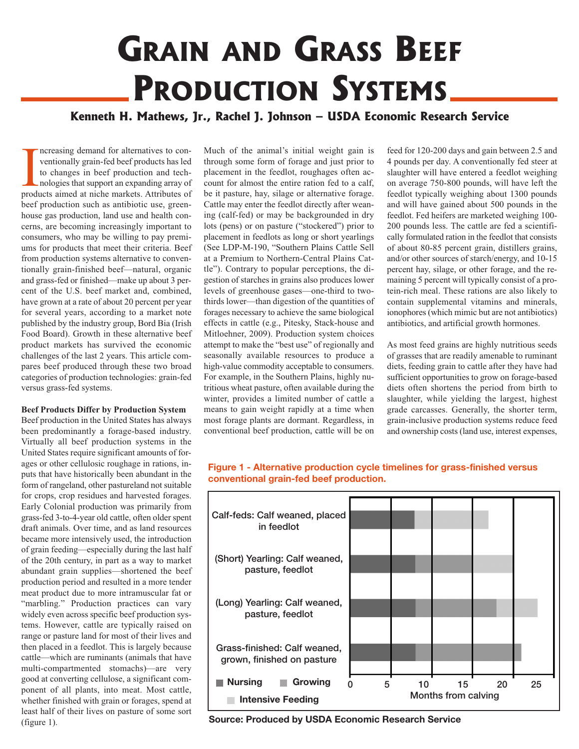# **GRAIN AND GRASS BEEF PRODUCTION SYSTEMS**

**Kenneth H. Mathews, Jr., Rachel J. Johnson – USDA Economic Research Service**

ncreasing demand for alternatives to conventionally grain-fed beef products has led<br>to changes in beef production and tech-<br>nologies that support an expanding array of<br>products aimed at niche markets. Attributes of ncreasing demand for alternatives to conventionally grain-fed beef products has led to changes in beef production and technologies that support an expanding array of beef production such as antibiotic use, greenhouse gas production, land use and health concerns, are becoming increasingly important to consumers, who may be willing to pay premiums for products that meet their criteria. Beef from production systems alternative to conventionally grain-finished beef—natural, organic and grass-fed or finished—make up about 3 percent of the U.S. beef market and, combined, have grown at a rate of about 20 percent per year for several years, according to a market note published by the industry group, Bord Bia (Irish Food Board). Growth in these alternative beef product markets has survived the economic challenges of the last 2 years. This article compares beef produced through these two broad categories of production technologies: grain-fed versus grass-fed systems.

### **Beef Products Differ by Production System**

Beef production in the United States has always been predominantly a forage-based industry. Virtually all beef production systems in the United States require significant amounts of forages or other cellulosic roughage in rations, inputs that have historically been abundant in the form of rangeland, other pastureland not suitable for crops, crop residues and harvested forages. Early Colonial production was primarily from grass-fed 3-to-4-year old cattle, often older spent draft animals. Over time, and as land resources became more intensively used, the introduction of grain feeding—especially during the last half of the 20th century, in part as a way to market abundant grain supplies—shortened the beef production period and resulted in a more tender meat product due to more intramuscular fat or "marbling." Production practices can vary widely even across specific beef production systems. However, cattle are typically raised on range or pasture land for most of their lives and then placed in a feedlot. This is largely because cattle—which are ruminants (animals that have multi-compartmented stomachs)—are very good at converting cellulose, a significant component of all plants, into meat. Most cattle, whether finished with grain or forages, spend at least half of their lives on pasture of some sort (figure 1).

Much of the animal's initial weight gain is through some form of forage and just prior to placement in the feedlot, roughages often account for almost the entire ration fed to a calf, be it pasture, hay, silage or alternative forage. Cattle may enter the feedlot directly after weaning (calf-fed) or may be backgrounded in dry lots (pens) or on pasture ("stockered") prior to placement in feedlots as long or short yearlings (See LDP-M-190, "Southern Plains Cattle Sell at a Premium to Northern-Central Plains Cattle"). Contrary to popular perceptions, the digestion of starches in grains also produces lower levels of greenhouse gases—one-third to twothirds lower—than digestion of the quantities of forages necessary to achieve the same biological effects in cattle (e.g., Pitesky, Stack-house and Mitloehner, 2009). Production system choices attempt to make the "best use" of regionally and seasonally available resources to produce a high-value commodity acceptable to consumers. For example, in the Southern Plains, highly nutritious wheat pasture, often available during the winter, provides a limited number of cattle a means to gain weight rapidly at a time when most forage plants are dormant. Regardless, in conventional beef production, cattle will be on

feed for 120-200 days and gain between 2.5 and 4 pounds per day. A conventionally fed steer at slaughter will have entered a feedlot weighing on average 750-800 pounds, will have left the feedlot typically weighing about 1300 pounds and will have gained about 500 pounds in the feedlot. Fed heifers are marketed weighing 100- 200 pounds less. The cattle are fed a scientifically formulated ration in the feedlot that consists of about 80-85 percent grain, distillers grains, and/or other sources of starch/energy, and 10-15 percent hay, silage, or other forage, and the remaining 5 percent will typically consist of a protein-rich meal. These rations are also likely to contain supplemental vitamins and minerals, ionophores (which mimic but are not antibiotics) antibiotics, and artificial growth hormones.

As most feed grains are highly nutritious seeds of grasses that are readily amenable to ruminant diets, feeding grain to cattle after they have had sufficient opportunities to grow on forage-based diets often shortens the period from birth to slaughter, while yielding the largest, highest grade carcasses. Generally, the shorter term, grain-inclusive production systems reduce feed and ownership costs (land use, interest expenses,

## **Figure 1 - Alternative production cycle timelines for grass-finished versus conventional grain-fed beef production.**



**Source: Produced by USDA Economic Research Service**